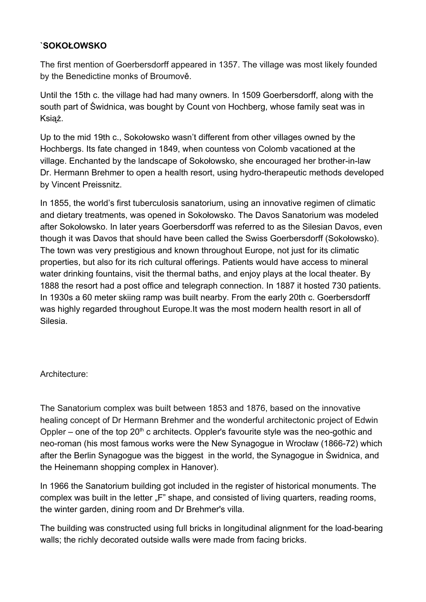## **`SOKOŁOWSKO**

The first mention of Goerbersdorff appeared in 1357. The village was most likely founded by the Benedictine monks of Broumově.

Until the 15th c. the village had had many owners. In 1509 Goerbersdorff, along with the south part of Świdnica, was bought by Count von Hochberg, whose family seat was in Książ.

Up to the mid 19th c., Sokołowsko wasn't different from other villages owned by the Hochbergs. Its fate changed in 1849, when countess von Colomb vacationed at the village. Enchanted by the landscape of Sokołowsko, she encouraged her brother-in-law Dr. Hermann Brehmer to open a health resort, using hydro-therapeutic methods developed by Vincent Preissnitz.

In 1855, the world's first tuberculosis sanatorium, using an innovative regimen of climatic and dietary treatments, was opened in Sokołowsko. The Davos Sanatorium was modeled after Sokołowsko. In later years Goerbersdorff was referred to as the Silesian Davos, even though it was Davos that should have been called the Swiss Goerbersdorff (Sokołowsko). The town was very prestigious and known throughout Europe, not just for its climatic properties, but also for its rich cultural offerings. Patients would have access to mineral water drinking fountains, visit the thermal baths, and enjoy plays at the local theater. By 1888 the resort had a post office and telegraph connection. In 1887 it hosted 730 patients. In 1930s a 60 meter skiing ramp was built nearby. From the early 20th c. Goerbersdorff was highly regarded throughout Europe.It was the most modern health resort in all of Silesia.

### Architecture:

The Sanatorium complex was built between 1853 and 1876, based on the innovative healing concept of Dr Hermann Brehmer and the wonderful architectonic project of Edwin Oppler – one of the top  $20<sup>th</sup>$  c architects. Oppler's favourite style was the neo-gothic and neo-roman (his most famous works were the New Synagogue in Wrocław (1866-72) which after the Berlin Synagogue was the biggest in the world, the Synagogue in Świdnica, and the Heinemann shopping complex in Hanover).

In 1966 the Sanatorium building got included in the register of historical monuments. The complex was built in the letter "F" shape, and consisted of living quarters, reading rooms, the winter garden, dining room and Dr Brehmer's villa.

The building was constructed using full bricks in longitudinal alignment for the load-bearing walls; the richly decorated outside walls were made from facing bricks.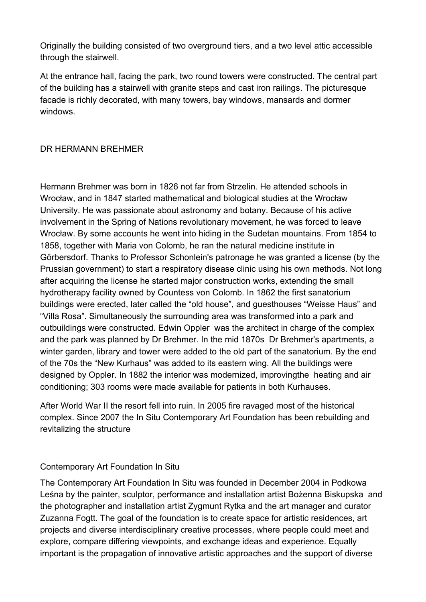Originally the building consisted of two overground tiers, and a two level attic accessible through the stairwell.

At the entrance hall, facing the park, two round towers were constructed. The central part of the building has a stairwell with granite steps and cast iron railings. The picturesque facade is richly decorated, with many towers, bay windows, mansards and dormer windows.

# DR HERMANN BREHMER

Hermann Brehmer was born in 1826 not far from Strzelin. He attended schools in Wrocław, and in 1847 started mathematical and biological studies at the Wrocław University. He was passionate about astronomy and botany. Because of his active involvement in the Spring of Nations revolutionary movement, he was forced to leave Wrocław. By some accounts he went into hiding in the Sudetan mountains. From 1854 to 1858, together with Maria von Colomb, he ran the natural medicine institute in Görbersdorf. Thanks to Professor Schonlein's patronage he was granted a license (by the Prussian government) to start a respiratory disease clinic using his own methods. Not long after acquiring the license he started major construction works, extending the small hydrotherapy facility owned by Countess von Colomb. In 1862 the first sanatorium buildings were erected, later called the "old house", and guesthouses "Weisse Haus" and "Villa Rosa". Simultaneously the surrounding area was transformed into a park and outbuildings were constructed. Edwin Oppler was the architect in charge of the complex and the park was planned by Dr Brehmer. In the mid 1870s Dr Brehmer's apartments, a winter garden, library and tower were added to the old part of the sanatorium. By the end of the 70s the "New Kurhaus" was added to its eastern wing. All the buildings were designed by Oppler. In 1882 the interior was modernized, improvingthe heating and air conditioning; 303 rooms were made available for patients in both Kurhauses.

After World War II the resort fell into ruin. In 2005 fire ravaged most of the historical complex. Since 2007 the In Situ Contemporary Art Foundation has been rebuilding and revitalizing the structure

### Contemporary Art Foundation In Situ

The Contemporary Art Foundation In Situ was founded in December 2004 in Podkowa Leśna by the painter, sculptor, performance and installation artist Bożenna Biskupska and the photographer and installation artist Zygmunt Rytka and the art manager and curator Zuzanna Fogtt. The goal of the foundation is to create space for artistic residences, art projects and diverse interdisciplinary creative processes, where people could meet and explore, compare differing viewpoints, and exchange ideas and experience. Equally important is the propagation of innovative artistic approaches and the support of diverse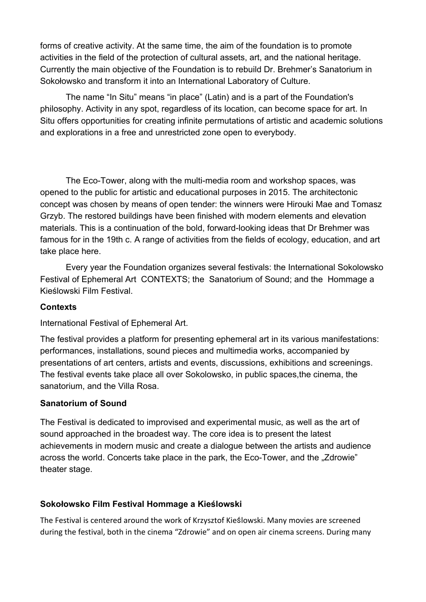forms of creative activity. At the same time, the aim of the foundation is to promote activities in the field of the protection of cultural assets, art, and the national heritage. Currently the main objective of the Foundation is to rebuild Dr. Brehmer's Sanatorium in Sokołowsko and transform it into an International Laboratory of Culture.

The name "In Situ" means "in place" (Latin) and is a part of the Foundation's philosophy. Activity in any spot, regardless of its location, can become space for art. In Situ offers opportunities for creating infinite permutations of artistic and academic solutions and explorations in a free and unrestricted zone open to everybody.

The Eco-Tower, along with the multi-media room and workshop spaces, was opened to the public for artistic and educational purposes in 2015. The architectonic concept was chosen by means of open tender: the winners were Hirouki Mae and Tomasz Grzyb. The restored buildings have been finished with modern elements and elevation materials. This is a continuation of the bold, forward-looking ideas that Dr Brehmer was famous for in the 19th c. A range of activities from the fields of ecology, education, and art take place here.

Every year the Foundation organizes several festivals: the International Sokolowsko Festival of Ephemeral Art CONTEXTS; the Sanatorium of Sound; and the Hommage a Kieślowski Film Festival.

### **Contexts**

International Festival of Ephemeral Art.

The festival provides a platform for presenting ephemeral art in its various manifestations: performances, installations, sound pieces and multimedia works, accompanied by presentations of art centers, artists and events, discussions, exhibitions and screenings. The festival events take place all over Sokolowsko, in public spaces,the cinema, the sanatorium, and the Villa Rosa.

#### **Sanatorium of Sound**

The Festival is dedicated to improvised and experimental music, as well as the art of sound approached in the broadest way. The core idea is to present the latest achievements in modern music and create a dialogue between the artists and audience across the world. Concerts take place in the park, the Eco-Tower, and the "Zdrowie" theater stage.

### **Sokołowsko Film Festival Hommage a Kieślowski**

The Festival is centered around the work of Krzysztof Kieślowski. Many movies are screened during the festival, both in the cinema "Zdrowie" and on open air cinema screens. During many